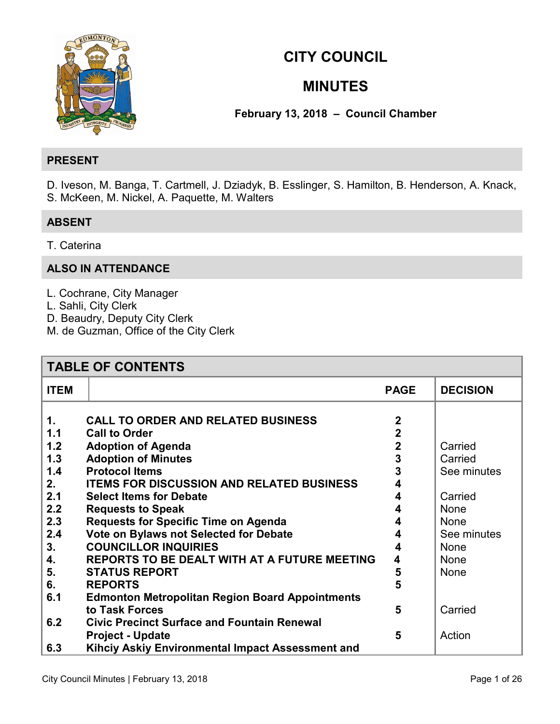

# **CITY COUNCIL**

# **MINUTES**

# **February 13, 2018 – Council Chamber**

# **PRESENT**

D. Iveson, M. Banga, T. Cartmell, J. Dziadyk, B. Esslinger, S. Hamilton, B. Henderson, A. Knack, S. McKeen, M. Nickel, A. Paquette, M. Walters

# **ABSENT**

T. Caterina

# **ALSO IN ATTENDANCE**

- L. Cochrane, City Manager
- L. Sahli, City Clerk
- D. Beaudry, Deputy City Clerk
- M. de Guzman, Office of the City Clerk

| <b>TABLE OF CONTENTS</b>                                                                                                                                                                                                                                                                                                                                                                                                                                                                                                                                                                                                                                      |                                                                                         |                                                                                                                                 |  |
|---------------------------------------------------------------------------------------------------------------------------------------------------------------------------------------------------------------------------------------------------------------------------------------------------------------------------------------------------------------------------------------------------------------------------------------------------------------------------------------------------------------------------------------------------------------------------------------------------------------------------------------------------------------|-----------------------------------------------------------------------------------------|---------------------------------------------------------------------------------------------------------------------------------|--|
| <b>ITEM</b>                                                                                                                                                                                                                                                                                                                                                                                                                                                                                                                                                                                                                                                   | <b>PAGE</b>                                                                             | <b>DECISION</b>                                                                                                                 |  |
| <b>CALL TO ORDER AND RELATED BUSINESS</b><br>1.<br>1.1<br><b>Call to Order</b><br>1.2<br><b>Adoption of Agenda</b><br>1.3<br><b>Adoption of Minutes</b><br><b>Protocol Items</b><br>1.4<br><b>ITEMS FOR DISCUSSION AND RELATED BUSINESS</b><br>2.<br>2.1<br><b>Select Items for Debate</b><br>2.2<br><b>Requests to Speak</b><br>2.3<br><b>Requests for Specific Time on Agenda</b><br>2.4<br>Vote on Bylaws not Selected for Debate<br><b>COUNCILLOR INQUIRIES</b><br>3.<br><b>REPORTS TO BE DEALT WITH AT A FUTURE MEETING</b><br>4.<br>5.<br><b>STATUS REPORT</b><br><b>REPORTS</b><br>6.<br>6.1<br><b>Edmonton Metropolitan Region Board Appointments</b> | $\overline{2}$<br>$\overline{2}$<br>$\mathbf 2$<br>3<br>3<br>4<br>4<br>4<br>4<br>5<br>5 | Carried<br>Carried<br>See minutes<br>Carried<br><b>None</b><br><b>None</b><br>See minutes<br><b>None</b><br><b>None</b><br>None |  |
| to Task Forces<br><b>Civic Precinct Surface and Fountain Renewal</b><br>6.2                                                                                                                                                                                                                                                                                                                                                                                                                                                                                                                                                                                   | 5                                                                                       | Carried                                                                                                                         |  |
| <b>Project - Update</b><br>Kihciy Askiy Environmental Impact Assessment and<br>6.3                                                                                                                                                                                                                                                                                                                                                                                                                                                                                                                                                                            | 5                                                                                       | Action                                                                                                                          |  |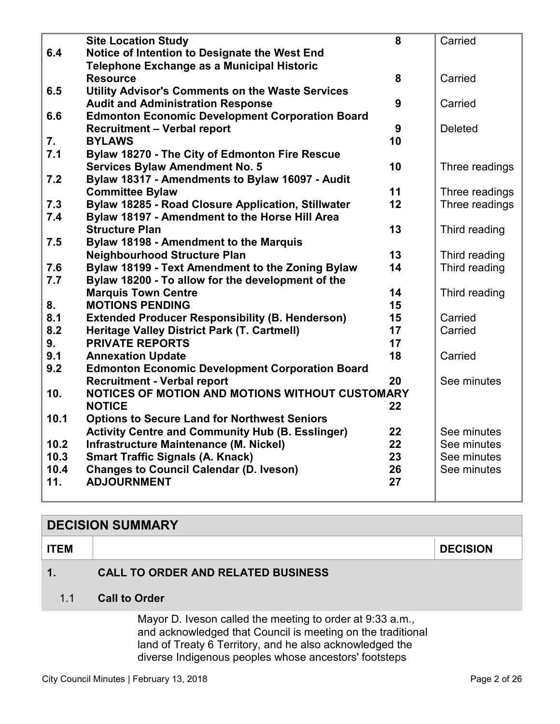<span id="page-1-0"></span>

|      | <b>Site Location Study</b>                                | 8  | Carried        |
|------|-----------------------------------------------------------|----|----------------|
| 6.4  | Notice of Intention to Designate the West End             |    |                |
|      | Telephone Exchange as a Municipal Historic                |    |                |
|      | <b>Resource</b>                                           | 8  | Carried        |
| 6.5  | Utility Advisor's Comments on the Waste Services          |    |                |
|      | <b>Audit and Administration Response</b>                  | 9  | Carried        |
| 6.6  | <b>Edmonton Economic Development Corporation Board</b>    |    |                |
|      | <b>Recruitment - Verbal report</b>                        | 9  | <b>Deleted</b> |
| 7.   | <b>BYLAWS</b>                                             | 10 |                |
| 7.1  | Bylaw 18270 - The City of Edmonton Fire Rescue            |    |                |
|      | <b>Services Bylaw Amendment No. 5</b>                     | 10 | Three readings |
| 7.2  | Bylaw 18317 - Amendments to Bylaw 16097 - Audit           |    |                |
|      | <b>Committee Bylaw</b>                                    | 11 | Three readings |
| 7.3  | <b>Bylaw 18285 - Road Closure Application, Stillwater</b> | 12 | Three readings |
| 7.4  | Bylaw 18197 - Amendment to the Horse Hill Area            |    |                |
|      | <b>Structure Plan</b>                                     | 13 | Third reading  |
| 7.5  | Bylaw 18198 - Amendment to the Marquis                    |    |                |
|      | <b>Neighbourhood Structure Plan</b>                       | 13 | Third reading  |
| 7.6  | Bylaw 18199 - Text Amendment to the Zoning Bylaw          | 14 | Third reading  |
| 7.7  | Bylaw 18200 - To allow for the development of the         |    |                |
|      | <b>Marquis Town Centre</b>                                | 14 | Third reading  |
| 8.   | <b>MOTIONS PENDING</b>                                    | 15 |                |
| 8.1  | <b>Extended Producer Responsibility (B. Henderson)</b>    | 15 | Carried        |
| 8.2  | Heritage Valley District Park (T. Cartmell)               | 17 | Carried        |
| 9.   | <b>PRIVATE REPORTS</b>                                    | 17 |                |
| 9.1  | <b>Annexation Update</b>                                  | 18 | Carried        |
| 9.2  | <b>Edmonton Economic Development Corporation Board</b>    |    |                |
|      | <b>Recruitment - Verbal report</b>                        | 20 | See minutes    |
| 10.  | NOTICES OF MOTION AND MOTIONS WITHOUT CUSTOMARY           |    |                |
|      | <b>NOTICE</b>                                             | 22 |                |
| 10.1 | <b>Options to Secure Land for Northwest Seniors</b>       |    |                |
|      | <b>Activity Centre and Community Hub (B. Esslinger)</b>   | 22 | See minutes    |
| 10.2 | Infrastructure Maintenance (M. Nickel)                    | 22 | See minutes    |
| 10.3 | <b>Smart Traffic Signals (A. Knack)</b>                   | 23 | See minutes    |
| 10.4 | <b>Changes to Council Calendar (D. Iveson)</b>            | 26 | See minutes    |
| 11.  | <b>ADJOURNMENT</b>                                        | 27 |                |
|      |                                                           |    |                |

# **DECISION SUMMARY**

**ITEM DECISION** 

**1. CALL TO ORDER AND RELATED BUSINESS** 

# 1.1 **Call to Order**

Mayor D. Iveson called the meeting to order at 9:33 a.m., and acknowledged that Council is meeting on the traditional land of Treaty 6 Territory, and he also acknowledged the diverse Indigenous peoples whose ancestors' footsteps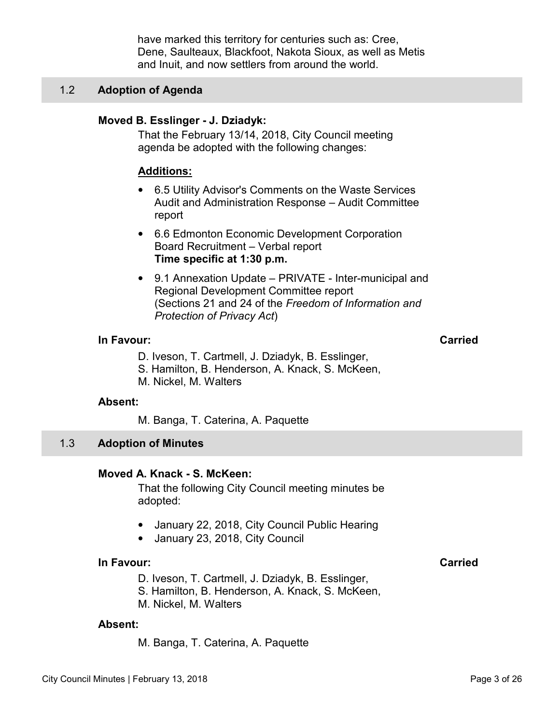have marked this territory for centuries such as: Cree, Dene, Saulteaux, Blackfoot, Nakota Sioux, as well as Metis and Inuit, and now settlers from around the world.

### <span id="page-2-0"></span>1.2 **Adoption of Agenda**

# **Moved B. Esslinger - J. Dziadyk:**

That the February 13/14, 2018, City Council meeting agenda be adopted with the following changes:

#### **Additions:**

- 6.5 Utility Advisor's Comments on the Waste Services Audit and Administration Response – Audit Committee report
- 6.6 Edmonton Economic Development Corporation Board Recruitment – Verbal report **Time specific at 1:30 p.m.**
- 9.1 Annexation Update PRIVATE Inter-municipal and Regional Development Committee report (Sections 21 and 24 of the *Freedom of Information and Protection of Privacy Act*)

### **In Favour: Carried**

- D. Iveson, T. Cartmell, J. Dziadyk, B. Esslinger,
- S. Hamilton, B. Henderson, A. Knack, S. McKeen,
- M. Nickel, M. Walters

#### **Absent:**

M. Banga, T. Caterina, A. Paquette

#### 1.3 **Adoption of Minutes**

#### **Moved A. Knack - S. McKeen:**

That the following City Council meeting minutes be adopted:

- January 22, 2018, City Council Public Hearing
- January 23, 2018, City Council

# **In Favour:** Carried Carried Carried Carried Carried Carried Carried Carried Carried Carried Carried Carried Carried Carried Carried Carried Carried Carried Carried Carried Carried Carried Carried Carried Carried Carried C

- D. Iveson, T. Cartmell, J. Dziadyk, B. Esslinger,
- S. Hamilton, B. Henderson, A. Knack, S. McKeen,
- M. Nickel, M. Walters

#### **Absent:**

M. Banga, T. Caterina, A. Paquette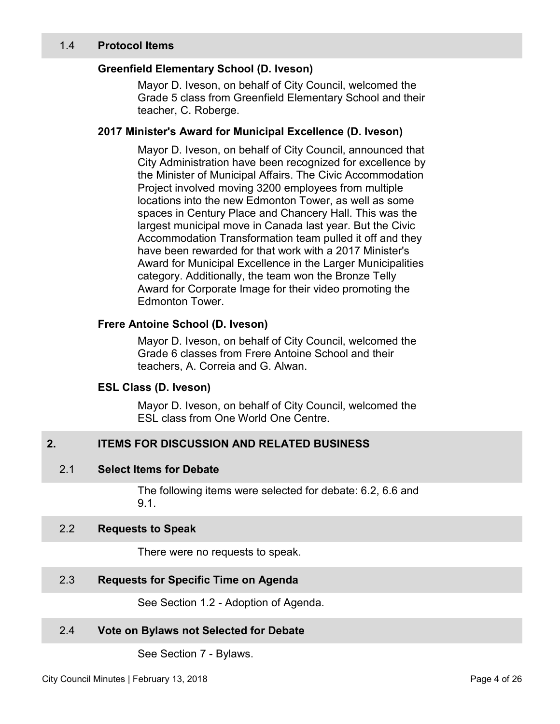# <span id="page-3-0"></span>**Greenfield Elementary School (D. Iveson)**

Mayor D. Iveson, on behalf of City Council, welcomed the Grade 5 class from Greenfield Elementary School and their teacher, C. Roberge.

### **2017 Minister's Award for Municipal Excellence (D. Iveson)**

Mayor D. Iveson, on behalf of City Council, announced that City Administration have been recognized for excellence by the Minister of Municipal Affairs. The Civic Accommodation Project involved moving 3200 employees from multiple locations into the new Edmonton Tower, as well as some spaces in Century Place and Chancery Hall. This was the largest municipal move in Canada last year. But the Civic Accommodation Transformation team pulled it off and they have been rewarded for that work with a 2017 Minister's Award for Municipal Excellence in the Larger Municipalities category. Additionally, the team won the Bronze Telly Award for Corporate Image for their video promoting the Edmonton Tower.

### **Frere Antoine School (D. Iveson)**

Mayor D. Iveson, on behalf of City Council, welcomed the Grade 6 classes from Frere Antoine School and their teachers, A. Correia and G. Alwan.

#### **ESL Class (D. Iveson)**

Mayor D. Iveson, on behalf of City Council, welcomed the ESL class from One World One Centre.

# **2. ITEMS FOR DISCUSSION AND RELATED BUSINESS**

# 2.1 **Select Items for Debate**

The following items were selected for debate: 6.2, 6.6 and 9.1.

#### 2.2 **Requests to Speak**

There were no requests to speak.

See Section 1.2 - Adoption of Agenda.

# 2.4 **Vote on Bylaws not Selected for Debate**

See Section 7 - Bylaws.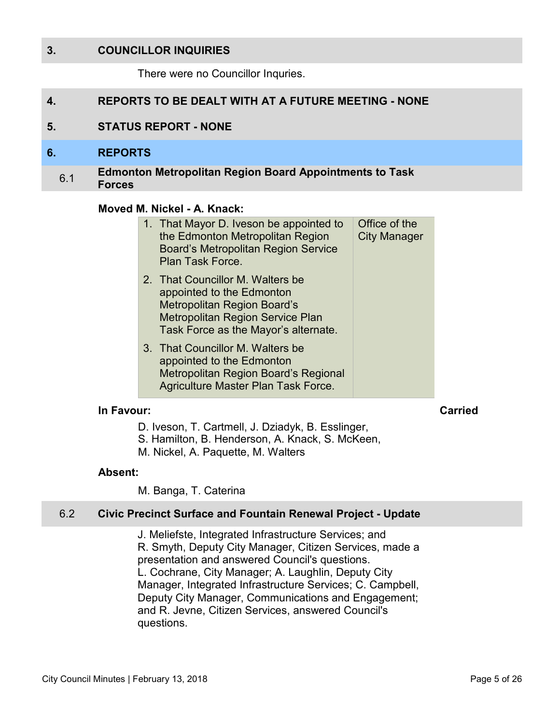# <span id="page-4-0"></span>**3. COUNCILLOR INQUIRIES**

There were no Councillor Inquries.

# **4. REPORTS TO BE DEALT WITH AT A FUTURE MEETING - NONE**

### **5. STATUS REPORT - NONE**

#### **6. REPORTS**

#### 6.1 **Edmonton Metropolitan Region Board Appointments to Task Forces**

#### **Moved M. Nickel - A. Knack:**

|  | 1. That Mayor D. Iveson be appointed to<br>the Edmonton Metropolitan Region<br><b>Board's Metropolitan Region Service</b><br>Plan Task Force.                            | Office of the<br><b>City Manager</b> |
|--|--------------------------------------------------------------------------------------------------------------------------------------------------------------------------|--------------------------------------|
|  | 2. That Councillor M. Walters be<br>appointed to the Edmonton<br>Metropolitan Region Board's<br>Metropolitan Region Service Plan<br>Task Force as the Mayor's alternate. |                                      |
|  | 3. That Councillor M. Walters be<br>appointed to the Edmonton<br>Metropolitan Region Board's Regional<br>Agriculture Master Plan Task Force.                             |                                      |

#### **In Favour: Carried**

- D. Iveson, T. Cartmell, J. Dziadyk, B. Esslinger,
- S. Hamilton, B. Henderson, A. Knack, S. McKeen,
- M. Nickel, A. Paquette, M. Walters

#### **Absent:**

M. Banga, T. Caterina

#### 6.2 **Civic Precinct Surface and Fountain Renewal Project - Update**

J. Meliefste, Integrated Infrastructure Services; and R. Smyth, Deputy City Manager, Citizen Services, made a presentation and answered Council's questions. L. Cochrane, City Manager; A. Laughlin, Deputy City Manager, Integrated Infrastructure Services; C. Campbell, Deputy City Manager, Communications and Engagement; and R. Jevne, Citizen Services, answered Council's questions.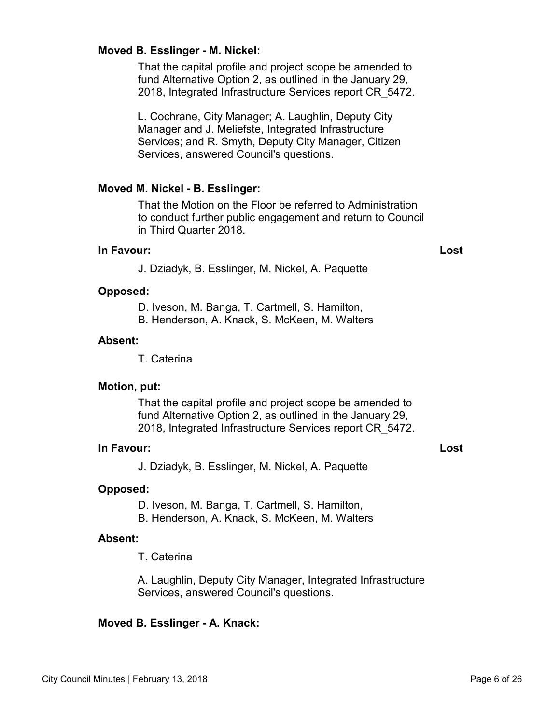#### **Moved B. Esslinger - M. Nickel:**

That the capital profile and project scope be amended to fund Alternative Option 2, as outlined in the January 29, 2018, Integrated Infrastructure Services report CR\_5472.

L. Cochrane, City Manager; A. Laughlin, Deputy City Manager and J. Meliefste, Integrated Infrastructure Services; and R. Smyth, Deputy City Manager, Citizen Services, answered Council's questions.

#### **Moved M. Nickel - B. Esslinger:**

That the Motion on the Floor be referred to Administration to conduct further public engagement and return to Council in Third Quarter 2018.

#### **In Favour: Lost**

J. Dziadyk, B. Esslinger, M. Nickel, A. Paquette

#### **Opposed:**

D. Iveson, M. Banga, T. Cartmell, S. Hamilton,

B. Henderson, A. Knack, S. McKeen, M. Walters

#### **Absent:**

T. Caterina

#### **Motion, put:**

That the capital profile and project scope be amended to fund Alternative Option 2, as outlined in the January 29, 2018, Integrated Infrastructure Services report CR\_5472.

#### **In Favour: Lost**

J. Dziadyk, B. Esslinger, M. Nickel, A. Paquette

#### **Opposed:**

D. Iveson, M. Banga, T. Cartmell, S. Hamilton,

B. Henderson, A. Knack, S. McKeen, M. Walters

#### **Absent:**

T. Caterina

A. Laughlin, Deputy City Manager, Integrated Infrastructure Services, answered Council's questions.

#### **Moved B. Esslinger - A. Knack:**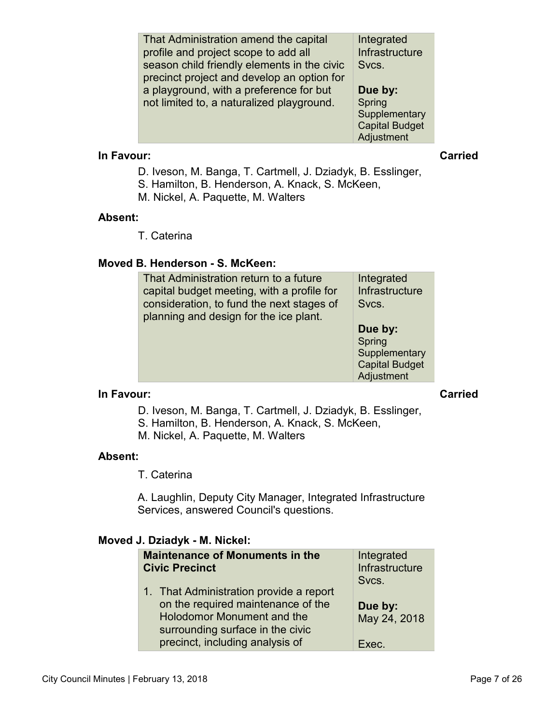| That Administration amend the capital<br>profile and project scope to add all<br>season child friendly elements in the civic<br>precinct project and develop an option for | Integrated<br>Infrastructure<br>Svcs. |
|----------------------------------------------------------------------------------------------------------------------------------------------------------------------------|---------------------------------------|
| a playground, with a preference for but                                                                                                                                    | Due by:                               |
| not limited to, a naturalized playground.                                                                                                                                  | Spring<br>Supplementary               |
|                                                                                                                                                                            | <b>Capital Budget</b><br>Adjustment   |

#### **In Favour:** Carried Carried Carried Carried Carried Carried Carried Carried Carried Carried Carried Carried Carried Carried Carried Carried Carried Carried Carried Carried Carried Carried Carried Carried Carried Carried C

- D. Iveson, M. Banga, T. Cartmell, J. Dziadyk, B. Esslinger,
- S. Hamilton, B. Henderson, A. Knack, S. McKeen,
- M. Nickel, A. Paquette, M. Walters

#### **Absent:**

T. Caterina

# **Moved B. Henderson - S. McKeen:**

| That Administration return to a future<br>capital budget meeting, with a profile for<br>consideration, to fund the next stages of<br>planning and design for the ice plant. | Integrated<br>Infrastructure<br>Svcs.                                     |
|-----------------------------------------------------------------------------------------------------------------------------------------------------------------------------|---------------------------------------------------------------------------|
|                                                                                                                                                                             | Due by:<br>Spring<br>Supplementary<br><b>Capital Budget</b><br>Adjustment |

#### **In Favour: Carried**

D. Iveson, M. Banga, T. Cartmell, J. Dziadyk, B. Esslinger,

- S. Hamilton, B. Henderson, A. Knack, S. McKeen,
- M. Nickel, A. Paquette, M. Walters

# **Absent:**

T. Caterina

A. Laughlin, Deputy City Manager, Integrated Infrastructure Services, answered Council's questions.

# **Moved J. Dziadyk - M. Nickel:**

| <b>Civic Precinct</b> | <b>Maintenance of Monuments in the</b>                                                                                                                                                    | Integrated<br>Infrastructure<br>Svcs. |
|-----------------------|-------------------------------------------------------------------------------------------------------------------------------------------------------------------------------------------|---------------------------------------|
|                       | 1. That Administration provide a report<br>on the required maintenance of the<br><b>Holodomor Monument and the</b><br>surrounding surface in the civic<br>precinct, including analysis of | Due by:<br>May 24, 2018<br>Exec.      |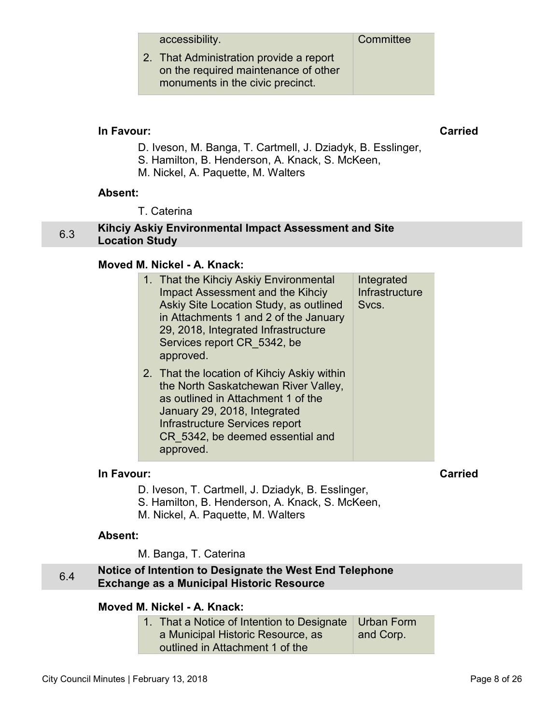accessibility.

<span id="page-7-0"></span>2. That Administration provide a report on the required maintenance of other monuments in the civic precinct.

### **In Favour: Carried**

- D. Iveson, M. Banga, T. Cartmell, J. Dziadyk, B. Esslinger,
- S. Hamilton, B. Henderson, A. Knack, S. McKeen,
- M. Nickel, A. Paquette, M. Walters

#### **Absent:**

T. Caterina

#### 6.3 **Kihciy Askiy Environmental Impact Assessment and Site Location Study**

#### **Moved M. Nickel - A. Knack:**

| 1. That the Kihciy Askiy Environmental<br><b>Impact Assessment and the Kihciy</b><br>Askiy Site Location Study, as outlined<br>in Attachments 1 and 2 of the January<br>29, 2018, Integrated Infrastructure<br>Services report CR 5342, be<br>approved. | Integrated<br>Infrastructure<br>Svcs. |  |
|---------------------------------------------------------------------------------------------------------------------------------------------------------------------------------------------------------------------------------------------------------|---------------------------------------|--|
| 2. That the location of Kihciy Askiy within<br>the North Saskatchewan River Valley,<br>as outlined in Attachment 1 of the<br>January 29, 2018, Integrated<br>Infrastructure Services report<br>CR 5342, be deemed essential and<br>approved.            |                                       |  |

# **In Favour: Carried**

- D. Iveson, T. Cartmell, J. Dziadyk, B. Esslinger,
- S. Hamilton, B. Henderson, A. Knack, S. McKeen,
- M. Nickel, A. Paquette, M. Walters

#### **Absent:**

M. Banga, T. Caterina

#### 6.4 **Notice of Intention to Designate the West End Telephone Exchange as a Municipal Historic Resource**

# **Moved M. Nickel - A. Knack:**

| 1. That a Notice of Intention to Designate   Urban Form |           |
|---------------------------------------------------------|-----------|
| a Municipal Historic Resource, as                       | and Corp. |
| outlined in Attachment 1 of the                         |           |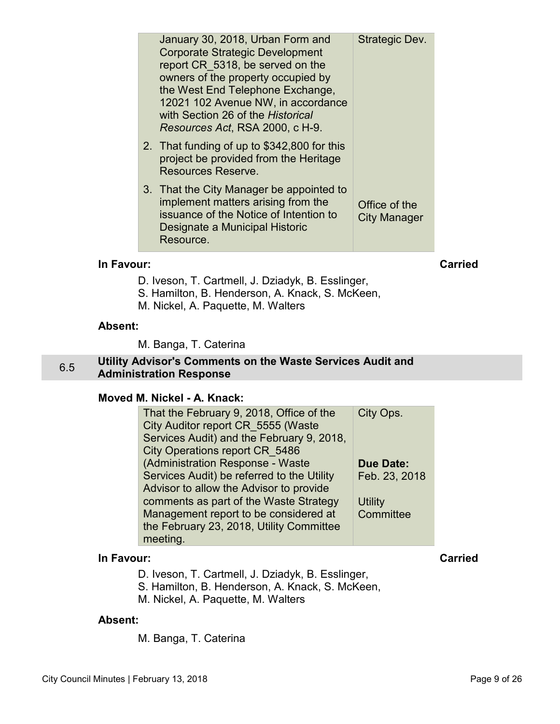<span id="page-8-0"></span>

|            | January 30, 2018, Urban Form and<br><b>Corporate Strategic Development</b><br>report CR 5318, be served on the<br>owners of the property occupied by<br>the West End Telephone Exchange,<br>12021 102 Avenue NW, in accordance<br>with Section 26 of the Historical<br>Resources Act, RSA 2000, c H-9. | Strategic Dev.                       |         |
|------------|--------------------------------------------------------------------------------------------------------------------------------------------------------------------------------------------------------------------------------------------------------------------------------------------------------|--------------------------------------|---------|
|            | 2. That funding of up to \$342,800 for this<br>project be provided from the Heritage<br>Resources Reserve.                                                                                                                                                                                             |                                      |         |
|            | 3. That the City Manager be appointed to<br>implement matters arising from the<br>issuance of the Notice of Intention to<br>Designate a Municipal Historic<br>Resource.                                                                                                                                | Office of the<br><b>City Manager</b> |         |
| In Favour: |                                                                                                                                                                                                                                                                                                        |                                      | Carried |

D. Iveson, T. Cartmell, J. Dziadyk, B. Esslinger,

- S. Hamilton, B. Henderson, A. Knack, S. McKeen,
- M. Nickel, A. Paquette, M. Walters

#### **Absent:**

M. Banga, T. Caterina

#### 6.5 **Utility Advisor's Comments on the Waste Services Audit and Administration Response**

# **Moved M. Nickel - A. Knack:**

| That the February 9, 2018, Office of the   | City Ops.        |  |
|--------------------------------------------|------------------|--|
| City Auditor report CR 5555 (Waste         |                  |  |
| Services Audit) and the February 9, 2018,  |                  |  |
| City Operations report CR 5486             |                  |  |
| (Administration Response - Waste           | <b>Due Date:</b> |  |
| Services Audit) be referred to the Utility | Feb. 23, 2018    |  |
| Advisor to allow the Advisor to provide    |                  |  |
| comments as part of the Waste Strategy     | <b>Utility</b>   |  |
| Management report to be considered at      | Committee        |  |
| the February 23, 2018, Utility Committee   |                  |  |
| meeting.                                   |                  |  |

# **In Favour: Carried**

D. Iveson, T. Cartmell, J. Dziadyk, B. Esslinger,

S. Hamilton, B. Henderson, A. Knack, S. McKeen,

M. Nickel, A. Paquette, M. Walters

#### **Absent:**

M. Banga, T. Caterina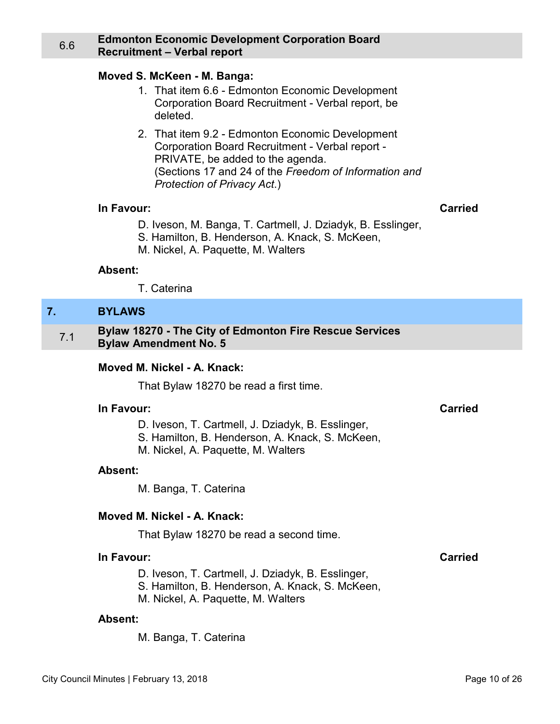#### <span id="page-9-0"></span>6.6 **Edmonton Economic Development Corporation Board Recruitment – Verbal report**

#### **Moved S. McKeen - M. Banga:**

- 1. That item 6.6 Edmonton Economic Development Corporation Board Recruitment - Verbal report, be deleted.
- 2. That item 9.2 Edmonton Economic Development Corporation Board Recruitment - Verbal report - PRIVATE, be added to the agenda. (Sections 17 and 24 of the *Freedom of Information and Protection of Privacy Act*.)

#### **In Favour: Carried**

- D. Iveson, M. Banga, T. Cartmell, J. Dziadyk, B. Esslinger,
- S. Hamilton, B. Henderson, A. Knack, S. McKeen,
- M. Nickel, A. Paquette, M. Walters

#### **Absent:**

T. Caterina

#### **7. BYLAWS**

7.1 **Bylaw 18270 - The City of Edmonton Fire Rescue Services Bylaw Amendment No. 5** 

#### **Moved M. Nickel - A. Knack:**

That Bylaw 18270 be read a first time.

#### **In Favour: Carried**

- D. Iveson, T. Cartmell, J. Dziadyk, B. Esslinger,
- S. Hamilton, B. Henderson, A. Knack, S. McKeen,
- M. Nickel, A. Paquette, M. Walters

### **Absent:**

M. Banga, T. Caterina

#### **Moved M. Nickel - A. Knack:**

That Bylaw 18270 be read a second time.

#### **In Favour: Carried**

D. Iveson, T. Cartmell, J. Dziadyk, B. Esslinger, S. Hamilton, B. Henderson, A. Knack, S. McKeen,

M. Nickel, A. Paquette, M. Walters

#### **Absent:**

M. Banga, T. Caterina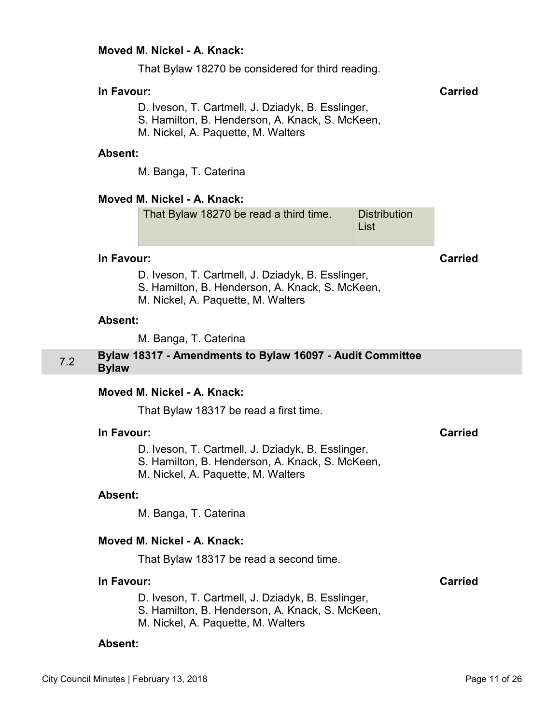#### <span id="page-10-0"></span>**Moved M. Nickel - A. Knack:**

That Bylaw 18270 be considered for third reading.

### **In Favour: Carried**

D. Iveson, T. Cartmell, J. Dziadyk, B. Esslinger,

S. Hamilton, B. Henderson, A. Knack, S. McKeen,

M. Nickel, A. Paquette, M. Walters

#### **Absent:**

M. Banga, T. Caterina

### **Moved M. Nickel - A. Knack:**

| That Bylaw 18270 be read a third time. | <b>Distribution</b> |
|----------------------------------------|---------------------|
|                                        | ∣ List              |

#### **In Favour: Carried**

- D. Iveson, T. Cartmell, J. Dziadyk, B. Esslinger,
- S. Hamilton, B. Henderson, A. Knack, S. McKeen,
- M. Nickel, A. Paquette, M. Walters

#### **Absent:**

M. Banga, T. Caterina

#### 7.2 **Bylaw 18317 - Amendments to Bylaw 16097 - Audit Committee Bylaw**

#### **Moved M. Nickel - A. Knack:**

That Bylaw 18317 be read a first time.

#### **In Favour: Carried**

D. Iveson, T. Cartmell, J. Dziadyk, B. Esslinger,

- S. Hamilton, B. Henderson, A. Knack, S. McKeen,
- M. Nickel, A. Paquette, M. Walters

#### **Absent:**

M. Banga, T. Caterina

#### **Moved M. Nickel - A. Knack:**

That Bylaw 18317 be read a second time.

#### **In Favour: Carried**

- D. Iveson, T. Cartmell, J. Dziadyk, B. Esslinger,
- S. Hamilton, B. Henderson, A. Knack, S. McKeen,
- M. Nickel, A. Paquette, M. Walters

#### **Absent:**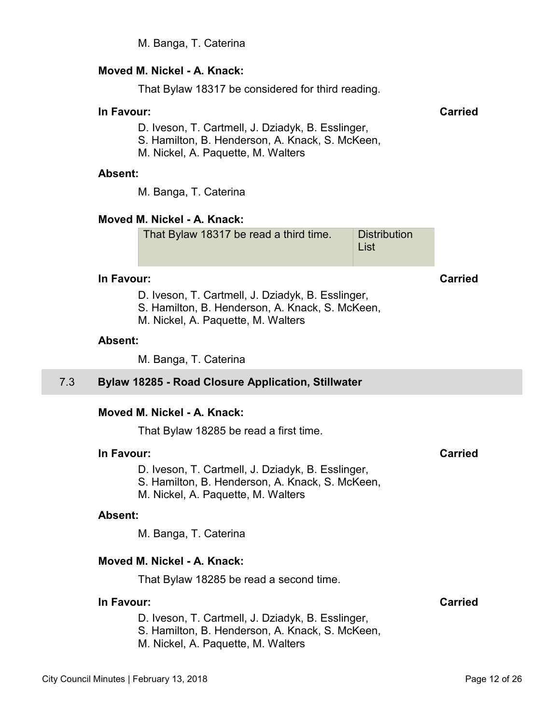M. Banga, T. Caterina

#### <span id="page-11-0"></span>**Moved M. Nickel - A. Knack:**

That Bylaw 18317 be considered for third reading.

# **In Favour: Carried**

- D. Iveson, T. Cartmell, J. Dziadyk, B. Esslinger,
- S. Hamilton, B. Henderson, A. Knack, S. McKeen,
- M. Nickel, A. Paquette, M. Walters

#### **Absent:**

M. Banga, T. Caterina

#### **Moved M. Nickel - A. Knack:**

| That Bylaw 18317 be read a third time. | Distribution |
|----------------------------------------|--------------|
|                                        | ∣ List       |

#### **In Favour: Carried**

D. Iveson, T. Cartmell, J. Dziadyk, B. Esslinger,

- S. Hamilton, B. Henderson, A. Knack, S. McKeen,
- M. Nickel, A. Paquette, M. Walters

#### **Absent:**

M. Banga, T. Caterina

#### 7.3 **Bylaw 18285 - Road Closure Application, Stillwater**

#### **Moved M. Nickel - A. Knack:**

That Bylaw 18285 be read a first time.

#### **In Favour: Carried**

D. Iveson, T. Cartmell, J. Dziadyk, B. Esslinger,

- S. Hamilton, B. Henderson, A. Knack, S. McKeen,
- M. Nickel, A. Paquette, M. Walters

#### **Absent:**

M. Banga, T. Caterina

#### **Moved M. Nickel - A. Knack:**

That Bylaw 18285 be read a second time.

#### **In Favour: Carried**

D. Iveson, T. Cartmell, J. Dziadyk, B. Esslinger,

- S. Hamilton, B. Henderson, A. Knack, S. McKeen,
- M. Nickel, A. Paquette, M. Walters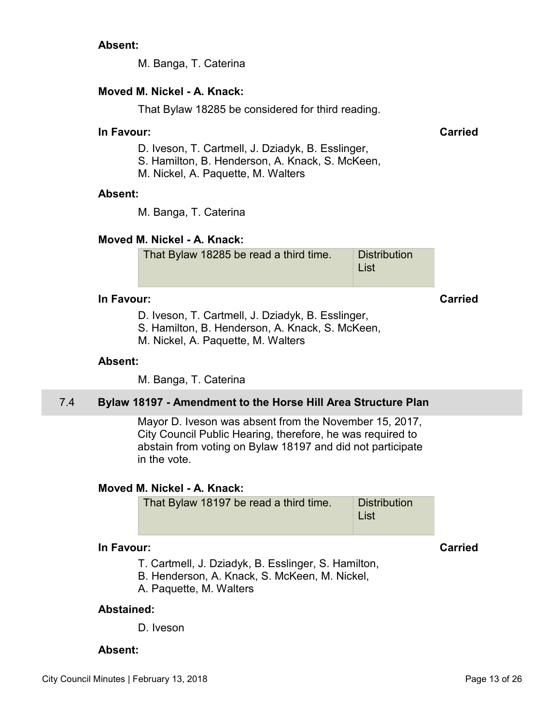# <span id="page-12-0"></span>**Absent:**

M. Banga, T. Caterina

# **Moved M. Nickel - A. Knack:**

That Bylaw 18285 be considered for third reading.

### **In Favour: Carried**

- D. Iveson, T. Cartmell, J. Dziadyk, B. Esslinger,
- S. Hamilton, B. Henderson, A. Knack, S. McKeen,
- M. Nickel, A. Paquette, M. Walters

#### **Absent:**

M. Banga, T. Caterina

# **Moved M. Nickel - A. Knack:**

| That Bylaw 18285 be read a third time. | <b>Distribution</b><br>∣ List |
|----------------------------------------|-------------------------------|
|                                        |                               |

# **In Favour: Carried**

D. Iveson, T. Cartmell, J. Dziadyk, B. Esslinger,

S. Hamilton, B. Henderson, A. Knack, S. McKeen,

M. Nickel, A. Paquette, M. Walters

#### **Absent:**

M. Banga, T. Caterina

# 7.4 **Bylaw 18197 - Amendment to the Horse Hill Area Structure Plan**

Mayor D. Iveson was absent from the November 15, 2017, City Council Public Hearing, therefore, he was required to abstain from voting on Bylaw 18197 and did not participate in the vote.

#### **Moved M. Nickel - A. Knack:**

That Bylaw 18197 be read a third time. Distribution List

### **In Favour: Carried**

T. Cartmell, J. Dziadyk, B. Esslinger, S. Hamilton,

- B. Henderson, A. Knack, S. McKeen, M. Nickel,
- A. Paquette, M. Walters

#### **Abstained:**

D. Iveson

#### **Absent:**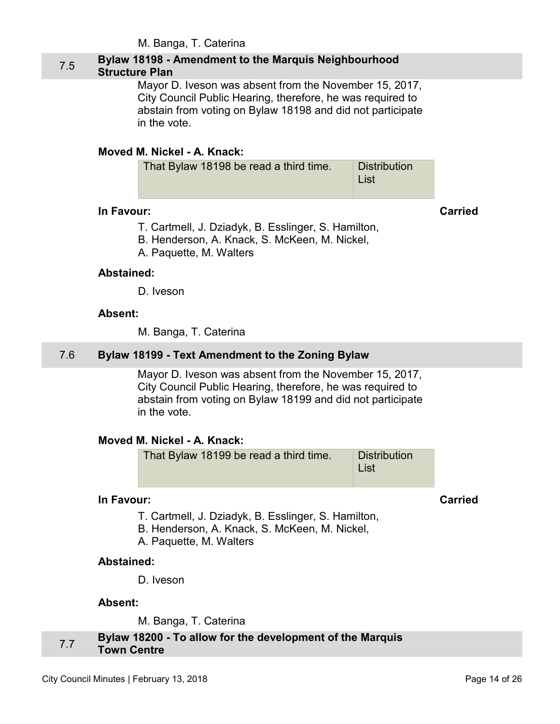M. Banga, T. Caterina

# <span id="page-13-0"></span>7.5 **Bylaw 18198 - Amendment to the Marquis Neighbourhood Structure Plan**

Mayor D. Iveson was absent from the November 15, 2017, City Council Public Hearing, therefore, he was required to abstain from voting on Bylaw 18198 and did not participate in the vote.

# **Moved M. Nickel - A. Knack:**

| That Bylaw 18198 be read a third time. | <b>Distribution</b><br><b>List</b> |
|----------------------------------------|------------------------------------|
|                                        |                                    |

### **In Favour: Carried**

T. Cartmell, J. Dziadyk, B. Esslinger, S. Hamilton,

- B. Henderson, A. Knack, S. McKeen, M. Nickel,
- A. Paquette, M. Walters

### **Abstained:**

D. Iveson

### **Absent:**

M. Banga, T. Caterina

# 7.6 **Bylaw 18199 - Text Amendment to the Zoning Bylaw**

Mayor D. Iveson was absent from the November 15, 2017, City Council Public Hearing, therefore, he was required to abstain from voting on Bylaw 18199 and did not participate in the vote.

# **Moved M. Nickel - A. Knack:**

That Bylaw 18199 be read a third time. Distribution List

# **In Favour: Carried**

- T. Cartmell, J. Dziadyk, B. Esslinger, S. Hamilton,
- B. Henderson, A. Knack, S. McKeen, M. Nickel,
- A. Paquette, M. Walters

# **Abstained:**

D. Iveson

#### **Absent:**

M. Banga, T. Caterina

# 7.7 **Bylaw 18200 - To allow for the development of the Marquis Town Centre**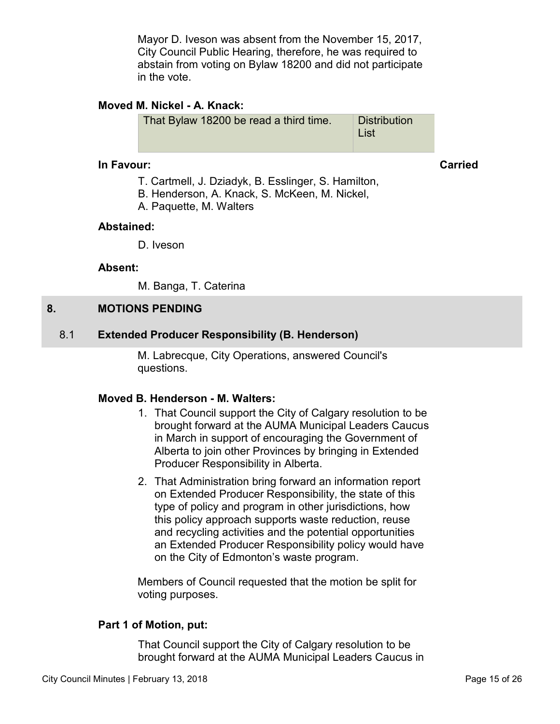Mayor D. Iveson was absent from the November 15, 2017, City Council Public Hearing, therefore, he was required to abstain from voting on Bylaw 18200 and did not participate in the vote.

# <span id="page-14-0"></span>**Moved M. Nickel - A. Knack:**

| That Bylaw 18200 be read a third time. | <b>Distribution</b><br>∣ List |
|----------------------------------------|-------------------------------|
|                                        |                               |

#### **In Favour: Carried**

- T. Cartmell, J. Dziadyk, B. Esslinger, S. Hamilton,
- B. Henderson, A. Knack, S. McKeen, M. Nickel,
- A. Paquette, M. Walters

# **Abstained:**

D. Iveson

# **Absent:**

M. Banga, T. Caterina

# **8. MOTIONS PENDING**

# 8.1 **Extended Producer Responsibility (B. Henderson)**

M. Labrecque, City Operations, answered Council's questions.

# **Moved B. Henderson - M. Walters:**

- 1. That Council support the City of Calgary resolution to be brought forward at the AUMA Municipal Leaders Caucus in March in support of encouraging the Government of Alberta to join other Provinces by bringing in Extended Producer Responsibility in Alberta.
- 2. That Administration bring forward an information report on Extended Producer Responsibility, the state of this type of policy and program in other jurisdictions, how this policy approach supports waste reduction, reuse and recycling activities and the potential opportunities an Extended Producer Responsibility policy would have on the City of Edmonton's waste program.

Members of Council requested that the motion be split for voting purposes.

# **Part 1 of Motion, put:**

That Council support the City of Calgary resolution to be brought forward at the AUMA Municipal Leaders Caucus in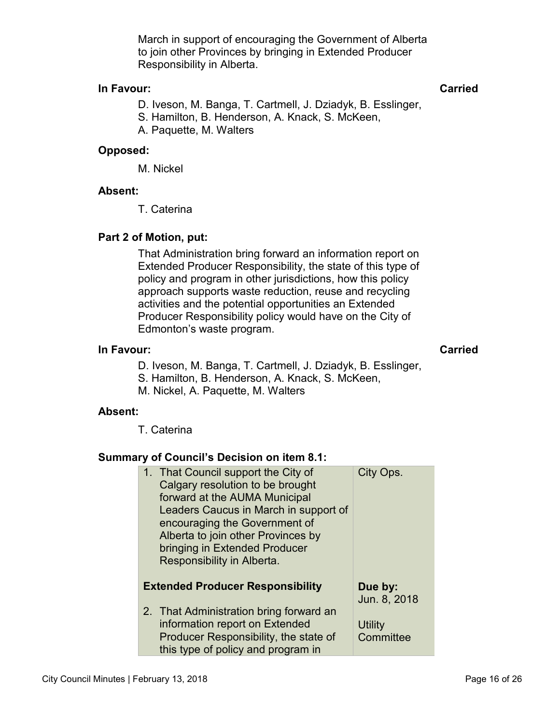March in support of encouraging the Government of Alberta to join other Provinces by bringing in Extended Producer Responsibility in Alberta.

## **In Favour: Carried**

D. Iveson, M. Banga, T. Cartmell, J. Dziadyk, B. Esslinger, S. Hamilton, B. Henderson, A. Knack, S. McKeen, A. Paquette, M. Walters

# **Opposed:**

M. Nickel

#### **Absent:**

T. Caterina

### **Part 2 of Motion, put:**

That Administration bring forward an information report on Extended Producer Responsibility, the state of this type of policy and program in other jurisdictions, how this policy approach supports waste reduction, reuse and recycling activities and the potential opportunities an Extended Producer Responsibility policy would have on the City of Edmonton's waste program.

#### **In Favour: Carried**

- D. Iveson, M. Banga, T. Cartmell, J. Dziadyk, B. Esslinger,
- S. Hamilton, B. Henderson, A. Knack, S. McKeen,
- M. Nickel, A. Paquette, M. Walters

#### **Absent:**

T. Caterina

# **Summary of Council's Decision on item 8.1:**

| 1. That Council support the City of<br>Calgary resolution to be brought<br>forward at the AUMA Municipal<br>Leaders Caucus in March in support of<br>encouraging the Government of<br>Alberta to join other Provinces by<br>bringing in Extended Producer<br>Responsibility in Alberta. | City Ops.                   |
|-----------------------------------------------------------------------------------------------------------------------------------------------------------------------------------------------------------------------------------------------------------------------------------------|-----------------------------|
| <b>Extended Producer Responsibility</b>                                                                                                                                                                                                                                                 | Due by:<br>Jun. 8, 2018     |
| 2. That Administration bring forward an<br>information report on Extended<br>Producer Responsibility, the state of<br>this type of policy and program in                                                                                                                                | <b>Utility</b><br>Committee |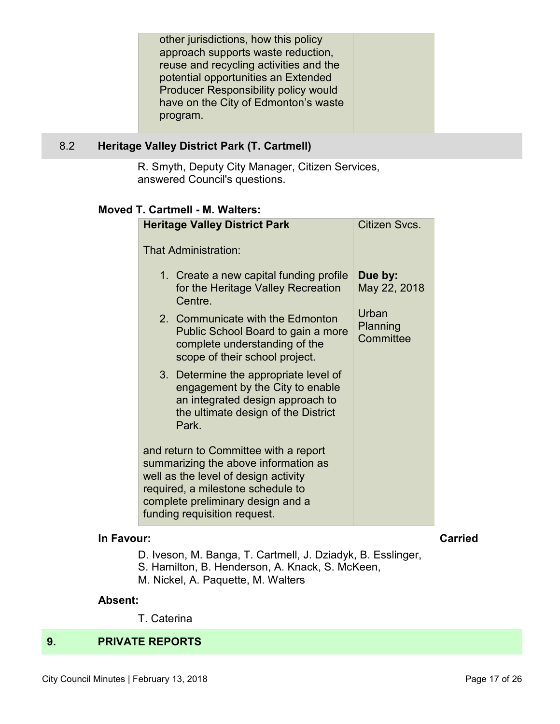<span id="page-16-0"></span>

# 8.2 **Heritage Valley District Park (T. Cartmell)**

R. Smyth, Deputy City Manager, Citizen Services, answered Council's questions.

#### **Moved T. Cartmell - M. Walters:**

| <b>Heritage Valley District Park</b>                                                                                                                                                                                            | Citizen Svcs.                  |
|---------------------------------------------------------------------------------------------------------------------------------------------------------------------------------------------------------------------------------|--------------------------------|
| <b>That Administration:</b>                                                                                                                                                                                                     |                                |
| 1. Create a new capital funding profile<br>for the Heritage Valley Recreation<br>Centre.                                                                                                                                        | Due by:<br>May 22, 2018        |
| 2. Communicate with the Edmonton<br>Public School Board to gain a more<br>complete understanding of the<br>scope of their school project.                                                                                       | Urban<br>Planning<br>Committee |
| 3. Determine the appropriate level of<br>engagement by the City to enable<br>an integrated design approach to<br>the ultimate design of the District<br>Park.                                                                   |                                |
| and return to Committee with a report<br>summarizing the above information as<br>well as the level of design activity<br>required, a milestone schedule to<br>complete preliminary design and a<br>funding requisition request. |                                |

# **In Favour: Carried**

- D. Iveson, M. Banga, T. Cartmell, J. Dziadyk, B. Esslinger,
- S. Hamilton, B. Henderson, A. Knack, S. McKeen,
- M. Nickel, A. Paquette, M. Walters

#### **Absent:**

T. Caterina

# **9. PRIVATE REPORTS**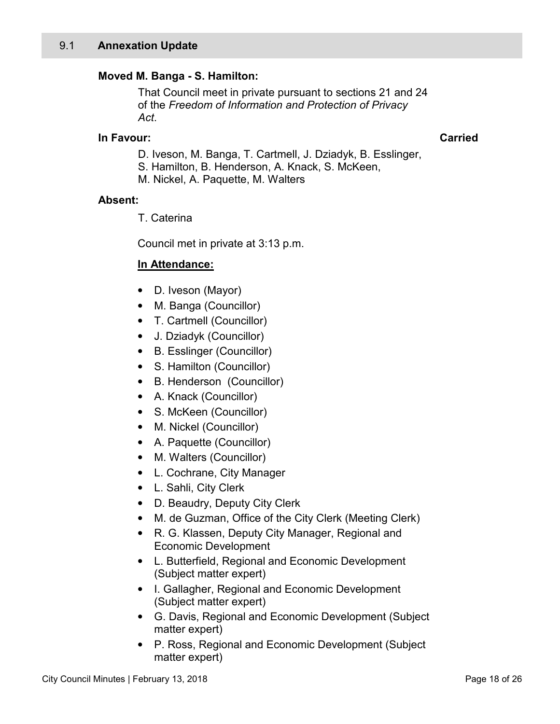# <span id="page-17-0"></span>**Moved M. Banga - S. Hamilton:**

That Council meet in private pursuant to sections 21 and 24 of the *Freedom of Information and Protection of Privacy Act*.

# **In Favour: Carried**

- D. Iveson, M. Banga, T. Cartmell, J. Dziadyk, B. Esslinger,
- S. Hamilton, B. Henderson, A. Knack, S. McKeen,
- M. Nickel, A. Paquette, M. Walters

# **Absent:**

T. Caterina

Council met in private at 3:13 p.m.

# **In Attendance:**

- D. Iveson (Mayor)
- M. Banga (Councillor)
- T. Cartmell (Councillor)
- J. Dziadyk (Councillor)
- B. Esslinger (Councillor)
- S. Hamilton (Councillor)
- B. Henderson (Councillor)
- A. Knack (Councillor)
- S. McKeen (Councillor)
- M. Nickel (Councillor)
- A. Paquette (Councillor)
- M. Walters (Councillor)
- L. Cochrane, City Manager
- L. Sahli, City Clerk
- D. Beaudry, Deputy City Clerk
- M. de Guzman, Office of the City Clerk (Meeting Clerk)
- R. G. Klassen, Deputy City Manager, Regional and Economic Development
- L. Butterfield, Regional and Economic Development (Subject matter expert)
- I. Gallagher, Regional and Economic Development (Subject matter expert)
- G. Davis, Regional and Economic Development (Subject matter expert)
- P. Ross, Regional and Economic Development (Subject matter expert)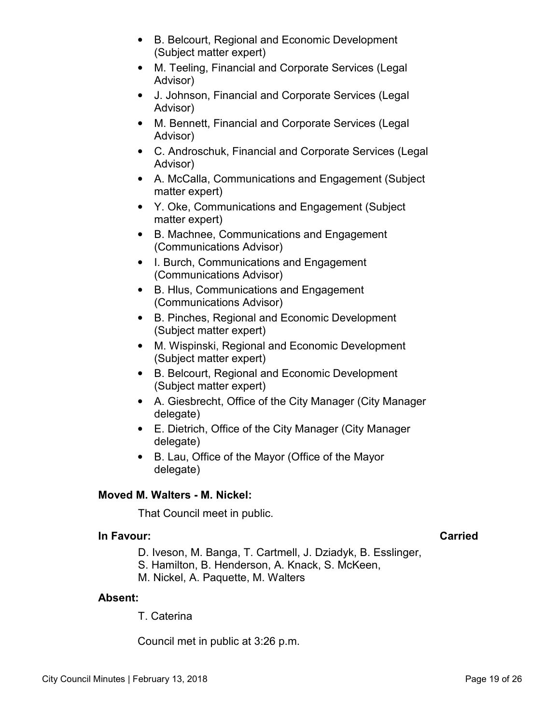- B. Belcourt, Regional and Economic Development (Subject matter expert)
- M. Teeling, Financial and Corporate Services (Legal Advisor)
- J. Johnson, Financial and Corporate Services (Legal Advisor)
- M. Bennett, Financial and Corporate Services (Legal Advisor)
- C. Androschuk, Financial and Corporate Services (Legal Advisor)
- A. McCalla, Communications and Engagement (Subject matter expert)
- Y. Oke, Communications and Engagement (Subject matter expert)
- B. Machnee, Communications and Engagement (Communications Advisor)
- I. Burch, Communications and Engagement (Communications Advisor)
- B. Hlus, Communications and Engagement (Communications Advisor)
- B. Pinches, Regional and Economic Development (Subject matter expert)
- M. Wispinski, Regional and Economic Development (Subject matter expert)
- B. Belcourt, Regional and Economic Development (Subject matter expert)
- A. Giesbrecht, Office of the City Manager (City Manager delegate)
- E. Dietrich, Office of the City Manager (City Manager delegate)
- B. Lau, Office of the Mayor (Office of the Mayor delegate)

# **Moved M. Walters - M. Nickel:**

That Council meet in public.

# **In Favour: Carried**

- D. Iveson, M. Banga, T. Cartmell, J. Dziadyk, B. Esslinger,
- S. Hamilton, B. Henderson, A. Knack, S. McKeen,
- M. Nickel, A. Paquette, M. Walters

# **Absent:**

T. Caterina

Council met in public at 3:26 p.m.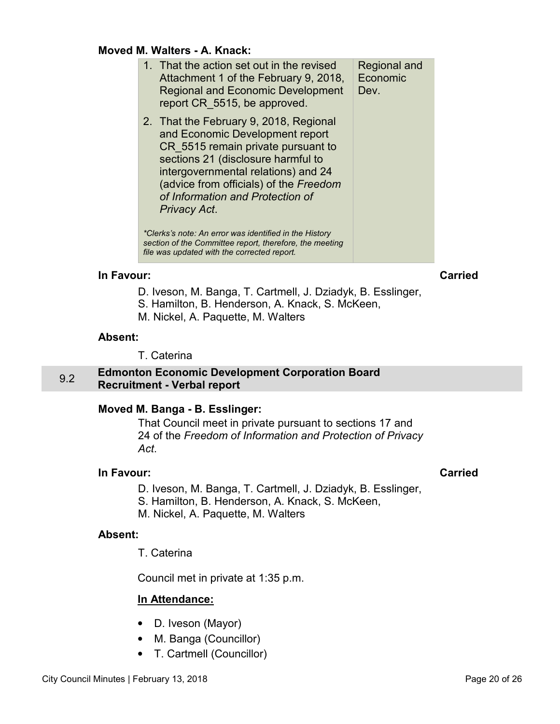#### <span id="page-19-0"></span>**Moved M. Walters - A. Knack:**

| 1. That the action set out in the revised<br>Attachment 1 of the February 9, 2018,<br><b>Regional and Economic Development</b><br>report CR 5515, be approved.                                                                                                                             | Regional and<br>Economic<br>Dev. |
|--------------------------------------------------------------------------------------------------------------------------------------------------------------------------------------------------------------------------------------------------------------------------------------------|----------------------------------|
| 2. That the February 9, 2018, Regional<br>and Economic Development report<br>CR_5515 remain private pursuant to<br>sections 21 (disclosure harmful to<br>intergovernmental relations) and 24<br>(advice from officials) of the Freedom<br>of Information and Protection of<br>Privacy Act. |                                  |
| *Clerks's note: An error was identified in the History<br>section of the Committee report, therefore, the meeting<br>file was updated with the corrected report.                                                                                                                           |                                  |

#### **In Favour: Carried**

- D. Iveson, M. Banga, T. Cartmell, J. Dziadyk, B. Esslinger,
- S. Hamilton, B. Henderson, A. Knack, S. McKeen,
- M. Nickel, A. Paquette, M. Walters

#### **Absent:**

T. Caterina

### 9.2 **Edmonton Economic Development Corporation Board Recruitment - Verbal report**

#### **Moved M. Banga - B. Esslinger:**

That Council meet in private pursuant to sections 17 and 24 of the *Freedom of Information and Protection of Privacy Act*.

#### **In Favour: Carried**

D. Iveson, M. Banga, T. Cartmell, J. Dziadyk, B. Esslinger,

S. Hamilton, B. Henderson, A. Knack, S. McKeen,

M. Nickel, A. Paquette, M. Walters

#### **Absent:**

T. Caterina

Council met in private at 1:35 p.m.

# **In Attendance:**

- D. Iveson (Mayor)
- M. Banga (Councillor)
- T. Cartmell (Councillor)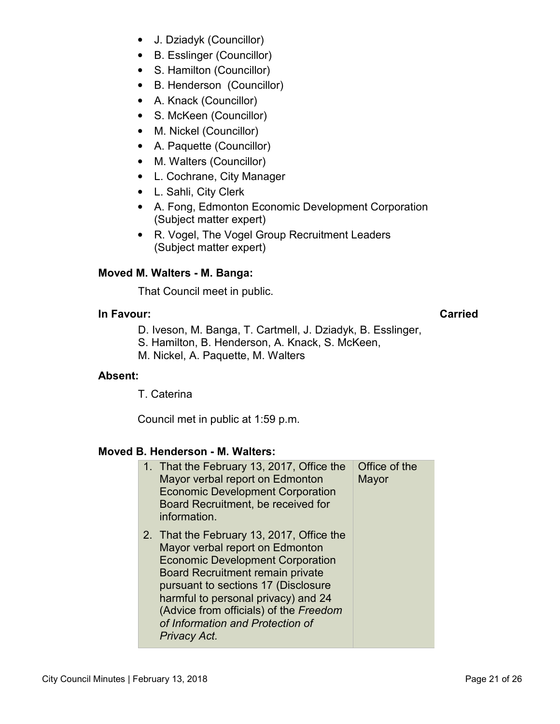- J. Dziadyk (Councillor)
- B. Esslinger (Councillor)
- S. Hamilton (Councillor)
- B. Henderson (Councillor)
- A. Knack (Councillor)
- S. McKeen (Councillor)
- M. Nickel (Councillor)
- A. Paquette (Councillor)
- M. Walters (Councillor)
- L. Cochrane, City Manager
- L. Sahli, City Clerk
- A. Fong, Edmonton Economic Development Corporation (Subject matter expert)
- R. Vogel, The Vogel Group Recruitment Leaders (Subject matter expert)

# **Moved M. Walters - M. Banga:**

That Council meet in public.

### **In Favour: Carried**

D. Iveson, M. Banga, T. Cartmell, J. Dziadyk, B. Esslinger,

S. Hamilton, B. Henderson, A. Knack, S. McKeen,

M. Nickel, A. Paquette, M. Walters

# **Absent:**

T. Caterina

Council met in public at 1:59 p.m.

# **Moved B. Henderson - M. Walters:**

| 1. That the February 13, 2017, Office the<br>Mayor verbal report on Edmonton<br><b>Economic Development Corporation</b><br>Board Recruitment, be received for<br>information.                                                                                                                                                                  | Office of the<br>Mayor |
|------------------------------------------------------------------------------------------------------------------------------------------------------------------------------------------------------------------------------------------------------------------------------------------------------------------------------------------------|------------------------|
| 2. That the February 13, 2017, Office the<br>Mayor verbal report on Edmonton<br><b>Economic Development Corporation</b><br><b>Board Recruitment remain private</b><br>pursuant to sections 17 (Disclosure<br>harmful to personal privacy) and 24<br>(Advice from officials) of the Freedom<br>of Information and Protection of<br>Privacy Act. |                        |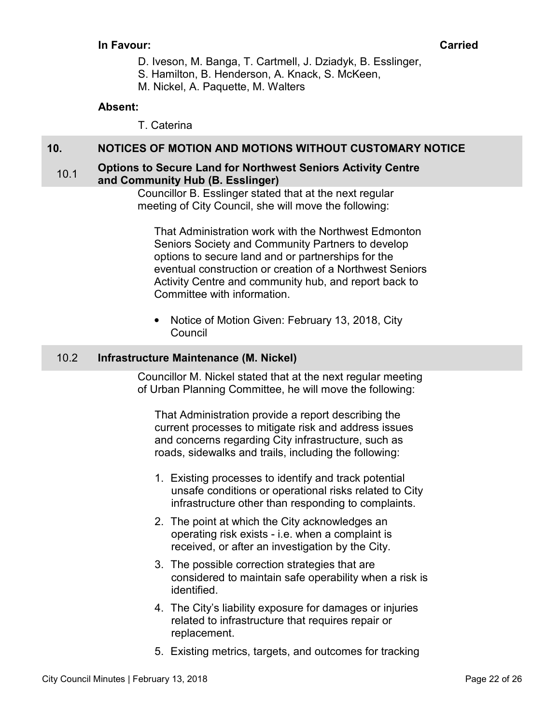### <span id="page-21-0"></span>**In Favour: Carried**

- D. Iveson, M. Banga, T. Cartmell, J. Dziadyk, B. Esslinger,
- S. Hamilton, B. Henderson, A. Knack, S. McKeen,
- M. Nickel, A. Paquette, M. Walters

# **Absent:**

T. Caterina

# **10. NOTICES OF MOTION AND MOTIONS WITHOUT CUSTOMARY NOTICE**

#### **10.1** Options to Secure Land for Northwest Seniors Activity Centre **and Community Hub (B. Esslinger)**

Councillor B. Esslinger stated that at the next regular meeting of City Council, she will move the following:

That Administration work with the Northwest Edmonton Seniors Society and Community Partners to develop options to secure land and or partnerships for the eventual construction or creation of a Northwest Seniors Activity Centre and community hub, and report back to Committee with information.

• Notice of Motion Given: February 13, 2018, City Council

# 10.2 **Infrastructure Maintenance (M. Nickel)**

Councillor M. Nickel stated that at the next regular meeting of Urban Planning Committee, he will move the following:

That Administration provide a report describing the current processes to mitigate risk and address issues and concerns regarding City infrastructure, such as roads, sidewalks and trails, including the following:

- 1. Existing processes to identify and track potential unsafe conditions or operational risks related to City infrastructure other than responding to complaints.
- 2. The point at which the City acknowledges an operating risk exists - i.e. when a complaint is received, or after an investigation by the City.
- 3. The possible correction strategies that are considered to maintain safe operability when a risk is identified.
- 4. The City's liability exposure for damages or injuries related to infrastructure that requires repair or replacement.
- 5. Existing metrics, targets, and outcomes for tracking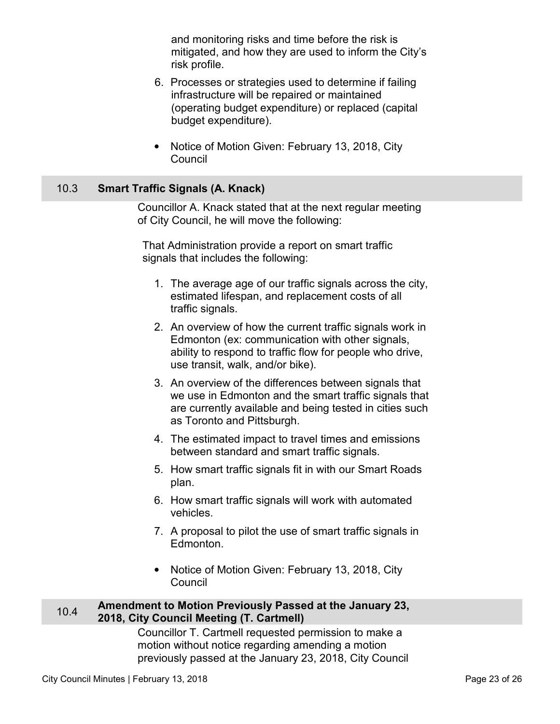and monitoring risks and time before the risk is mitigated, and how they are used to inform the City's risk profile.

- <span id="page-22-0"></span>6. Processes or strategies used to determine if failing infrastructure will be repaired or maintained (operating budget expenditure) or replaced (capital budget expenditure).
- Notice of Motion Given: February 13, 2018, City Council

# 10.3 **Smart Traffic Signals (A. Knack)**

Councillor A. Knack stated that at the next regular meeting of City Council, he will move the following:

That Administration provide a report on smart traffic signals that includes the following:

- 1. The average age of our traffic signals across the city, estimated lifespan, and replacement costs of all traffic signals.
- 2. An overview of how the current traffic signals work in Edmonton (ex: communication with other signals, ability to respond to traffic flow for people who drive, use transit, walk, and/or bike).
- 3. An overview of the differences between signals that we use in Edmonton and the smart traffic signals that are currently available and being tested in cities such as Toronto and Pittsburgh.
- 4. The estimated impact to travel times and emissions between standard and smart traffic signals.
- 5. How smart traffic signals fit in with our Smart Roads plan.
- 6. How smart traffic signals will work with automated vehicles.
- 7. A proposal to pilot the use of smart traffic signals in Edmonton.
- Notice of Motion Given: February 13, 2018, City Council

### **Amendment to Motion Previously Passed at the January 23,**  $10.4$  **Annual Mention (T. Contract) 2018, City Council Meeting (T. Cartmell)**

Councillor T. Cartmell requested permission to make a motion without notice regarding amending a motion previously passed at the January 23, 2018, City Council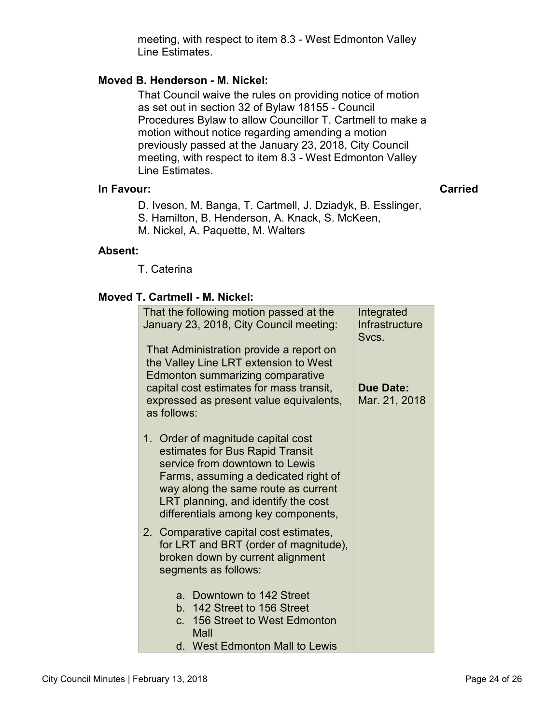meeting, with respect to item 8.3 - West Edmonton Valley Line Estimates.

# **Moved B. Henderson - M. Nickel:**

That Council waive the rules on providing notice of motion as set out in section 32 of Bylaw 18155 - Council Procedures Bylaw to allow Councillor T. Cartmell to make a motion without notice regarding amending a motion previously passed at the January 23, 2018, City Council meeting, with respect to item 8.3 - West Edmonton Valley Line Estimates.

# **In Favour: Carried**

- D. Iveson, M. Banga, T. Cartmell, J. Dziadyk, B. Esslinger,
- S. Hamilton, B. Henderson, A. Knack, S. McKeen,
- M. Nickel, A. Paquette, M. Walters

# **Absent:**

T. Caterina

# **Moved T. Cartmell - M. Nickel:**

| That the following motion passed at the<br>January 23, 2018, City Council meeting:<br>That Administration provide a report on<br>the Valley Line LRT extension to West<br>Edmonton summarizing comparative                                                           | Integrated<br>Infrastructure<br>Svcs. |
|----------------------------------------------------------------------------------------------------------------------------------------------------------------------------------------------------------------------------------------------------------------------|---------------------------------------|
| capital cost estimates for mass transit,<br>expressed as present value equivalents,<br>as follows:                                                                                                                                                                   | <b>Due Date:</b><br>Mar. 21, 2018     |
| 1. Order of magnitude capital cost<br>estimates for Bus Rapid Transit<br>service from downtown to Lewis<br>Farms, assuming a dedicated right of<br>way along the same route as current<br>LRT planning, and identify the cost<br>differentials among key components, |                                       |
| 2. Comparative capital cost estimates,<br>for LRT and BRT (order of magnitude),<br>broken down by current alignment<br>segments as follows:                                                                                                                          |                                       |
| a. Downtown to 142 Street<br>b. 142 Street to 156 Street                                                                                                                                                                                                             |                                       |
| 156 Street to West Edmonton<br>$\mathbf{C}$ .<br>Mall<br>d. West Edmonton Mall to Lewis                                                                                                                                                                              |                                       |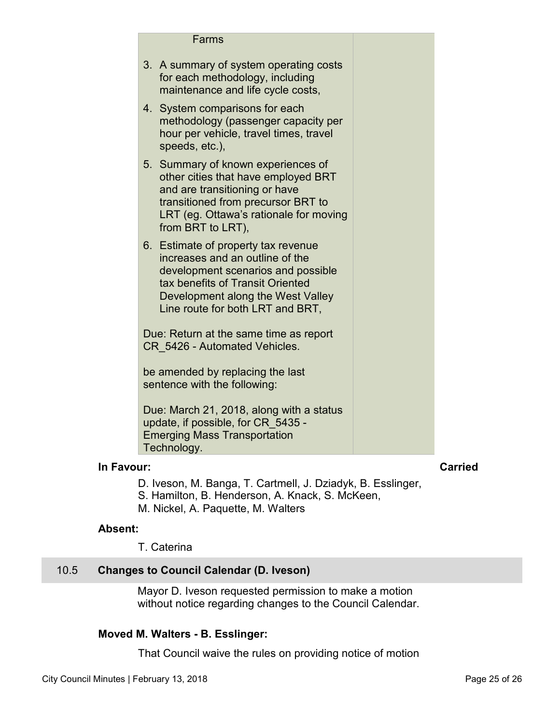<span id="page-24-0"></span>

| Farms                                                                                                                                                                                                                     |  |
|---------------------------------------------------------------------------------------------------------------------------------------------------------------------------------------------------------------------------|--|
| 3. A summary of system operating costs<br>for each methodology, including<br>maintenance and life cycle costs,                                                                                                            |  |
| 4. System comparisons for each<br>methodology (passenger capacity per<br>hour per vehicle, travel times, travel<br>speeds, etc.),                                                                                         |  |
| Summary of known experiences of<br>5.<br>other cities that have employed BRT<br>and are transitioning or have<br>transitioned from precursor BRT to<br>LRT (eg. Ottawa's rationale for moving<br>from BRT to LRT),        |  |
| 6. Estimate of property tax revenue<br>increases and an outline of the<br>development scenarios and possible<br>tax benefits of Transit Oriented<br>Development along the West Valley<br>Line route for both LRT and BRT, |  |
| Due: Return at the same time as report<br>CR 5426 - Automated Vehicles.                                                                                                                                                   |  |
| be amended by replacing the last<br>sentence with the following:                                                                                                                                                          |  |
| Due: March 21, 2018, along with a status<br>update, if possible, for CR 5435 -<br><b>Emerging Mass Transportation</b><br>Technology.                                                                                      |  |

### **In Favour:** Carried

- D. Iveson, M. Banga, T. Cartmell, J. Dziadyk, B. Esslinger,
- S. Hamilton, B. Henderson, A. Knack, S. McKeen,
- M. Nickel, A. Paquette, M. Walters

#### **Absent:**

T. Caterina

# 10.5 **Changes to Council Calendar (D. Iveson)**

Mayor D. Iveson requested permission to make a motion without notice regarding changes to the Council Calendar.

# **Moved M. Walters - B. Esslinger:**

That Council waive the rules on providing notice of motion